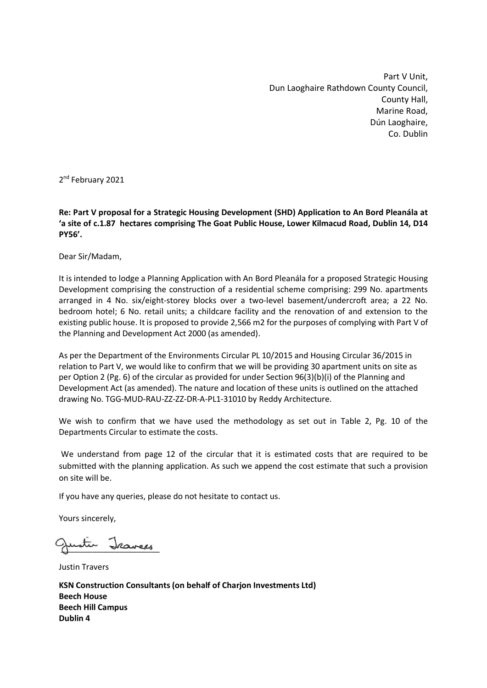Part V Unit, Dun Laoghaire Rathdown County Council, County Hall, Marine Road, Dún Laoghaire, Co. Dublin

2<sup>nd</sup> February 2021

**Re: Part V proposal for a Strategic Housing Development (SHD) Application to An Bord Pleanála at 'a site of c.1.87 hectares comprising The Goat Public House, Lower Kilmacud Road, Dublin 14, D14 PY56'.** 

Dear Sir/Madam,

It is intended to lodge a Planning Application with An Bord Pleanála for a proposed Strategic Housing Development comprising the construction of a residential scheme comprising: 299 No. apartments arranged in 4 No. six/eight-storey blocks over a two-level basement/undercroft area; a 22 No. bedroom hotel; 6 No. retail units; a childcare facility and the renovation of and extension to the existing public house. It is proposed to provide 2,566 m2 for the purposes of complying with Part V of the Planning and Development Act 2000 (as amended).

As per the Department of the Environments Circular PL 10/2015 and Housing Circular 36/2015 in relation to Part V, we would like to confirm that we will be providing 30 apartment units on site as per Option 2 (Pg. 6) of the circular as provided for under Section 96(3)(b)(i) of the Planning and Development Act (as amended). The nature and location of these units is outlined on the attached drawing No. TGG-MUD-RAU-ZZ-ZZ-DR-A-PL1-31010 by Reddy Architecture.

We wish to confirm that we have used the methodology as set out in Table 2, Pg. 10 of the Departments Circular to estimate the costs.

We understand from page 12 of the circular that it is estimated costs that are required to be submitted with the planning application. As such we append the cost estimate that such a provision on site will be.

If you have any queries, please do not hesitate to contact us.

Yours sincerely,

Justin Jeavees

Justin Travers

**KSN Construction Consultants (on behalf of Charjon Investments Ltd) Beech House Beech Hill Campus Dublin 4**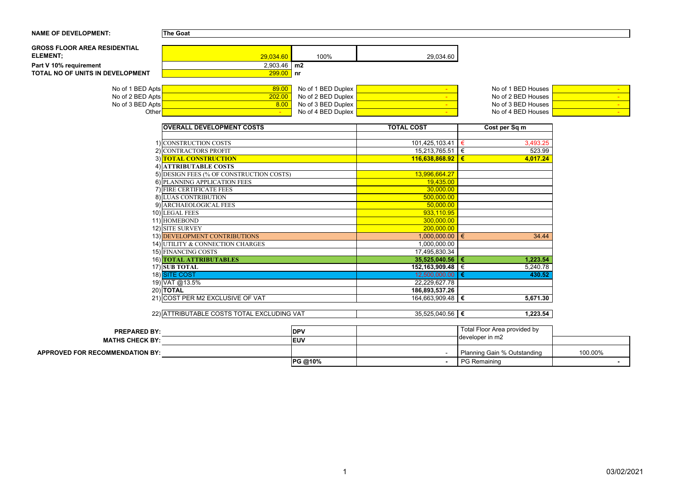#### **NAME OF DEVELOPMENT: The Goat**

| <b>GROSS FLOOR AREA RESIDENTIAL</b> |               |      |           |
|-------------------------------------|---------------|------|-----------|
| <b>ELEMENT;</b>                     | 29,034.60     | 100% | 29,034.60 |
| Part V 10% requirement              | $2,903.46$ m2 |      |           |
| TOTAL NO OF UNITS IN DEVELOPMENT    | $ 299.00 $ nr |      |           |
|                                     |               |      |           |

| No of 1 BED Apts <mark>I</mark>        | 89.00  | No of 1 BED Duplex | No of 1 BED Houses I |  |
|----------------------------------------|--------|--------------------|----------------------|--|
| No of 2 BED Apts $\mathsf{\mathsf{I}}$ | 202.00 | No of 2 BED Duplex | No of 2 BED Houses I |  |
| No of 3 BED Apts <mark>I</mark>        | 3.00   | No of 3 BED Duplex | No of 3 BED Houses I |  |
| Other                                  |        | No of 4 BED Duplex | No of 4 BED Houses   |  |

| <b>OVERALL DEVELOPMENT COSTS</b>           | <b>TOTAL COST</b>  | Cost per Sq m     |
|--------------------------------------------|--------------------|-------------------|
|                                            |                    |                   |
| 1) CONSTRUCTION COSTS                      | 101,425,103.41     | 3,493.25<br>€     |
| 2) CONTRACTORS PROFIT                      | 15,213,765.51      | $\in$<br>523.99   |
| 3) TOTAL CONSTRUCTION                      | 116,638,868.92     | €<br>4,017.24     |
| 4) ATTRIBUTABLE COSTS                      |                    |                   |
| 5) DESIGN FEES (% OF CONSTRUCTION COSTS)   | 13,996,664.27      |                   |
| 6) PLANNING APPLICATION FEES               | 19,435.00          |                   |
| 7) FIRE CERTIFICATE FEES                   | 30,000.00          |                   |
| 8) LUAS CONTRIBUTION                       | 500,000.00         |                   |
| 9) ARCHAEOLOGICAL FEES                     | 50,000.00          |                   |
| 10) LEGAL FEES                             | 933,110.95         |                   |
| 11) HOMEBOND                               | 300,000.00         |                   |
| 12) SITE SURVEY                            | 200,000.00         |                   |
| 13) DEVELOPMENT CONTRIBUTIONS              | 1,000,000.00       | €<br>34.44        |
| 14) UTILITY & CONNECTION CHARGES           | 1,000,000.00       |                   |
| 15) FINANCING COSTS                        | 17,495,830.34      |                   |
| 16) <b>TOTAL ATTRIBUTABLES</b>             | 35,525,040.56      | 1,223.54<br>€     |
| $17)$ SUB TOTAL                            | 152,163,909.48     | $\in$<br>5,240.78 |
| 18) SITE COST                              | 12,500,000.00      | 430.52<br>€       |
| 19) VAT @13.5%                             | 22,229,627.78      |                   |
| $20$ ) TOTAL                               | 186,893,537.26     |                   |
| 21) COST PER M2 EXCLUSIVE OF VAT           | 164,663,909.48   € | 5,671.30          |
| 22) ATTRIBUTABLE COSTS TOTAL EXCLUDING VAT | 35,525,040.56   €  | 1,223.54          |
|                                            |                    |                   |

| <b>PREPARED BY:</b>                    | <b>DPV</b>  | Total Floor Area provided by |         |
|----------------------------------------|-------------|------------------------------|---------|
| <b>MATHS CHECK BY:</b>                 | <b>IEUV</b> | ר developer in m2            |         |
| <b>APPROVED FOR RECOMMENDATION BY:</b> |             | Planning Gain % Outstanding  | 100.00% |
|                                        | PG @10%     | <b>PG Remaining</b>          |         |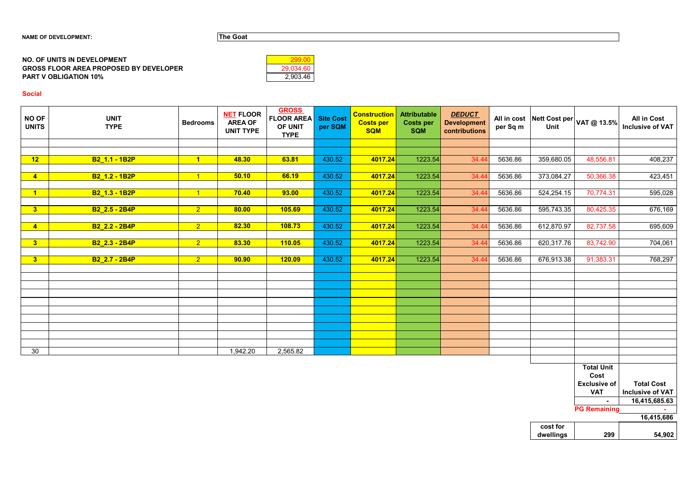| 29.034.60 |
|-----------|
| 2,903.46  |

### **Social**

#### **GROSS FLOOR AREA PROPOSED BY DEVELOPER PART V OBLIGATION 10% NO. OF UNITS IN DEVELOPMENT**

| <b>NO OF</b><br><b>UNITS</b> | <b>UNIT</b><br><b>TYPE</b> | <b>Bedrooms</b> | <b>NET FLOOR</b><br><b>AREA OF</b><br><b>UNIT TYPE</b> | <b>GROSS</b><br><b>FLOOR AREA</b><br>OF UNIT<br><b>TYPE</b> | <b>Site Cost</b><br>per SQM | <b>Construction</b><br><b>Costs per</b><br><b>SQM</b> | <b>Attributable</b><br><b>Costs per</b><br><b>SQM</b> | <b>DEDUCT</b><br><b>Development</b><br>contributions | per Sq m | Unit                  | All in cost Nett Cost per $ $ VAT @ 13.5% | <b>All in Cost</b><br>Inclusive of VAT |
|------------------------------|----------------------------|-----------------|--------------------------------------------------------|-------------------------------------------------------------|-----------------------------|-------------------------------------------------------|-------------------------------------------------------|------------------------------------------------------|----------|-----------------------|-------------------------------------------|----------------------------------------|
|                              |                            |                 |                                                        |                                                             |                             |                                                       |                                                       |                                                      |          |                       |                                           |                                        |
|                              |                            |                 |                                                        |                                                             |                             |                                                       |                                                       |                                                      |          |                       |                                           |                                        |
| 12                           | <b>B2_1.1 - 1B2P</b>       | $\overline{1}$  | 48.30                                                  | 63.81                                                       | 430.52                      | 4017.24                                               | 1223.54                                               | 34.44                                                | 5636.86  | 359,680.05            | 48,556.81                                 | 408,237                                |
|                              |                            |                 |                                                        |                                                             |                             |                                                       |                                                       |                                                      |          |                       |                                           |                                        |
| $\overline{\mathbf{4}}$      | B2_1.2 - 1B2P              | $\vert$ 1       | 50.10                                                  | 66.19                                                       | 430.52                      | 4017.24                                               | 1223.54                                               | 34.44                                                | 5636.86  | 373,084.27            | 50,366.38                                 | 423,451                                |
| $\overline{1}$               | B2_1.3 - 1B2P              | $\overline{1}$  | 70.40                                                  | 93.00                                                       | 430.52                      | 4017.24                                               | 1223.54                                               | 34.44                                                | 5636.86  | 524,254.15            | 70,774.31                                 | 595,028                                |
|                              |                            |                 |                                                        |                                                             |                             |                                                       |                                                       |                                                      |          |                       |                                           |                                        |
| 3 <sup>2</sup>               | B2_2.5 - 2B4P              | 2 <sup>7</sup>  | 80.00                                                  | 105.69                                                      | 430.52                      | 4017.24                                               | 1223.54                                               | 34.44                                                | 5636.86  | 595,743.35            | 80,425.35                                 | 676,169                                |
|                              |                            |                 |                                                        |                                                             |                             |                                                       |                                                       |                                                      |          |                       |                                           |                                        |
| $\overline{4}$               | B2_2.2 - 2B4P              | 2 <sup>7</sup>  | 82.30                                                  | 108.73                                                      | 430.52                      | 4017.24                                               | 1223.54                                               | 34.44                                                | 5636.86  | 612,870.97            | 82,737.58                                 | 695,609                                |
|                              |                            |                 |                                                        |                                                             |                             |                                                       |                                                       |                                                      |          |                       |                                           |                                        |
| $\overline{\mathbf{3}}$      | B2_2.3 - 2B4P              | 2 <sup>7</sup>  | 83.30                                                  | <b>110.05</b>                                               | 430.52                      | 4017.24                                               | 1223.54                                               | 34.44                                                | 5636.86  | 620,317.76            | 83,742.90                                 | 704,061                                |
|                              |                            |                 |                                                        |                                                             |                             |                                                       |                                                       |                                                      |          |                       |                                           |                                        |
| 3                            | B2_2.7 - 2B4P              | $\overline{2}$  | 90.90                                                  | <b>120.09</b>                                               | 430.52                      | 4017.24                                               | 1223.54                                               | 34.44                                                | 5636.86  | 676,913.38            | 91,383.31                                 | 768,297                                |
|                              |                            |                 |                                                        |                                                             |                             |                                                       |                                                       |                                                      |          |                       |                                           |                                        |
|                              |                            |                 |                                                        |                                                             |                             |                                                       |                                                       |                                                      |          |                       |                                           |                                        |
|                              |                            |                 |                                                        |                                                             |                             |                                                       |                                                       |                                                      |          |                       |                                           |                                        |
|                              |                            |                 |                                                        |                                                             |                             |                                                       |                                                       |                                                      |          |                       |                                           |                                        |
|                              |                            |                 |                                                        |                                                             |                             |                                                       |                                                       |                                                      |          |                       |                                           |                                        |
|                              |                            |                 |                                                        |                                                             |                             |                                                       |                                                       |                                                      |          |                       |                                           |                                        |
|                              |                            |                 |                                                        |                                                             |                             |                                                       |                                                       |                                                      |          |                       |                                           |                                        |
|                              |                            |                 |                                                        |                                                             |                             |                                                       |                                                       |                                                      |          |                       |                                           |                                        |
|                              |                            |                 |                                                        |                                                             |                             |                                                       |                                                       |                                                      |          |                       |                                           |                                        |
| 30                           |                            |                 | 1,942.20                                               | 2,565.82                                                    |                             |                                                       |                                                       |                                                      |          |                       |                                           |                                        |
|                              |                            |                 |                                                        |                                                             |                             |                                                       |                                                       |                                                      |          |                       | <b>Total Unit</b><br>Cost                 |                                        |
|                              |                            |                 |                                                        |                                                             |                             |                                                       |                                                       |                                                      |          |                       | <b>Exclusive of</b>                       | <b>Total Cost</b>                      |
|                              |                            |                 |                                                        |                                                             |                             |                                                       |                                                       |                                                      |          |                       | <b>VAT</b>                                | Inclusive of VAT                       |
|                              |                            |                 |                                                        |                                                             |                             |                                                       |                                                       |                                                      |          |                       |                                           | 16,415,685.63                          |
|                              |                            |                 |                                                        |                                                             |                             |                                                       |                                                       |                                                      |          |                       | <b>PG Remaining</b>                       |                                        |
|                              |                            |                 |                                                        |                                                             |                             |                                                       |                                                       |                                                      |          |                       |                                           | 16,415,686                             |
|                              |                            |                 |                                                        |                                                             |                             |                                                       |                                                       |                                                      |          | cost for<br>dwellings | 299                                       | 54,902                                 |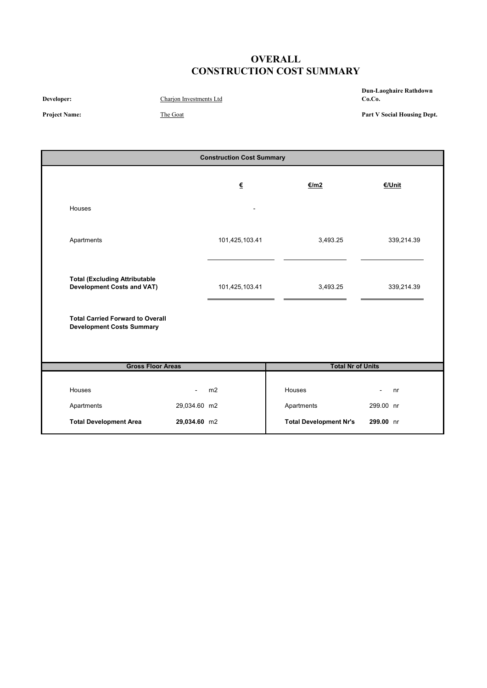# **OVERALL CONSTRUCTION COST SUMMARY**

**Developer:** Charjon Investments Ltd

**Dun-Laoghaire Rathdown Co.Co.**

**Project Name:** The Goat

**Part V Social Housing Dept.**

|                                                                             | <b>Construction Cost Summary</b> |                            |                               |                      |  |  |  |  |
|-----------------------------------------------------------------------------|----------------------------------|----------------------------|-------------------------------|----------------------|--|--|--|--|
|                                                                             |                                  | $\underline{\epsilon}$     | €/m2                          | <b>€/Unit</b>        |  |  |  |  |
| Houses                                                                      |                                  |                            |                               |                      |  |  |  |  |
| Apartments                                                                  |                                  | 101,425,103.41             | 3,493.25                      | 339,214.39           |  |  |  |  |
| <b>Total (Excluding Attributable</b><br><b>Development Costs and VAT)</b>   |                                  | 101,425,103.41<br>3,493.25 |                               | 339,214.39           |  |  |  |  |
| <b>Total Carried Forward to Overall</b><br><b>Development Costs Summary</b> |                                  |                            |                               |                      |  |  |  |  |
| <b>Gross Floor Areas</b>                                                    |                                  |                            | <b>Total Nr of Units</b>      |                      |  |  |  |  |
| Houses                                                                      |                                  | m2                         | Houses                        | nr<br>$\blacksquare$ |  |  |  |  |
| Apartments                                                                  | 29,034.60 m2                     |                            | Apartments                    | 299.00 nr            |  |  |  |  |
| <b>Total Development Area</b>                                               | 29,034.60 m2                     |                            | <b>Total Development Nr's</b> | 299.00 nr            |  |  |  |  |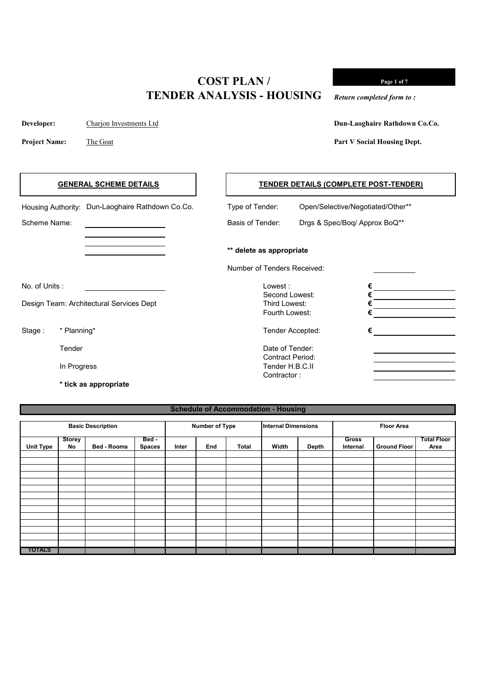**Developer:** Charjon Investments Ltd

**Project Name:** The Goat

**Dun-Laoghaire Rathdown Co.Co.**

**Page 1 of 7**

**Part V Social Housing Dept.**

*Return completed form to :*

# Housing Authority: Dun-Laoghaire Rathdown Co.Co. Type of Tender: Open/Selective/Negotiated/Other\*\* Scheme Name: Scheme Name: Scheme Name: Basis of Tender: Drgs & Spec/Boq/ Approx BoQ\*\* **\*\* delete as appropriate** Number of Tenders Received: No. of Units : Lowest : **€** Second Lowest: **€** Design Team: Architectural Services Dept Third Lowest: **€** Fourth Lowest: **€** Stage : \* Planning\* **€** Tender **Tender** Date of Tender: Contract Period: In Progress Tender H.B.C.II Contractor : **\* tick as appropriate GENERAL SCHEME DETAILS TENDER DETAILS (COMPLETE POST-TENDER)**

#### **Schedule of Accommodation - Housing**

| <b>Basic Description</b> |                     |                    |                        | <b>Number of Type</b> |     |       | <b>Internal Dimensions</b> |              | <b>Floor Area</b>        |                     |                            |
|--------------------------|---------------------|--------------------|------------------------|-----------------------|-----|-------|----------------------------|--------------|--------------------------|---------------------|----------------------------|
| <b>Unit Type</b>         | <b>Storey</b><br>No | <b>Bed - Rooms</b> | Bed -<br><b>Spaces</b> | Inter                 | End | Total | Width                      | <b>Depth</b> | <b>Gross</b><br>Internal | <b>Ground Floor</b> | <b>Total Floor</b><br>Area |
|                          |                     |                    |                        |                       |     |       |                            |              |                          |                     |                            |
|                          |                     |                    |                        |                       |     |       |                            |              |                          |                     |                            |
|                          |                     |                    |                        |                       |     |       |                            |              |                          |                     |                            |
|                          |                     |                    |                        |                       |     |       |                            |              |                          |                     |                            |
|                          |                     |                    |                        |                       |     |       |                            |              |                          |                     |                            |
| <b>TOTALS</b>            |                     |                    |                        |                       |     |       |                            |              |                          |                     |                            |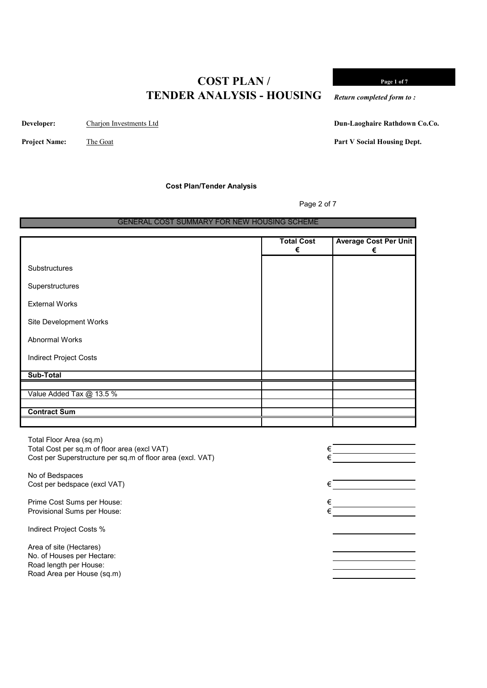**Developer:** Charjon Investments Ltd

**Dun-Laoghaire Rathdown Co.Co.**

**Page 1 of 7**

**Part V Social Housing Dept.**

*Return completed form to :*

**Project Name:** The Goat

**Cost Plan/Tender Analysis**

Page 2 of 7

#### GENERAL COST SUMMARY FOR NEW HOUSING SCHEME

|                               | <b>Total Cost</b><br>€ | <b>Average Cost Per Unit</b><br>€ |
|-------------------------------|------------------------|-----------------------------------|
| Substructures                 |                        |                                   |
| Superstructures               |                        |                                   |
| <b>External Works</b>         |                        |                                   |
| Site Development Works        |                        |                                   |
| <b>Abnormal Works</b>         |                        |                                   |
| <b>Indirect Project Costs</b> |                        |                                   |
| Sub-Total                     |                        |                                   |
|                               |                        |                                   |
| Value Added Tax @ 13.5 %      |                        |                                   |
|                               |                        |                                   |
| <b>Contract Sum</b>           |                        |                                   |
|                               |                        |                                   |

Total Floor Area (sq.m) Total Cost per sq.m of floor area (excl VAT)  $\epsilon$ Cost per Superstructure per sq.m of floor area (excl. VAT)

No of Bedspaces Cost per bedspace (excl VAT)

Prime Cost Sums per House:  $\epsilon$ Provisional Sums per House:

Indirect Project Costs %

Area of site (Hectares) No. of Houses per Hectare: Road length per House: Road Area per House (sq.m)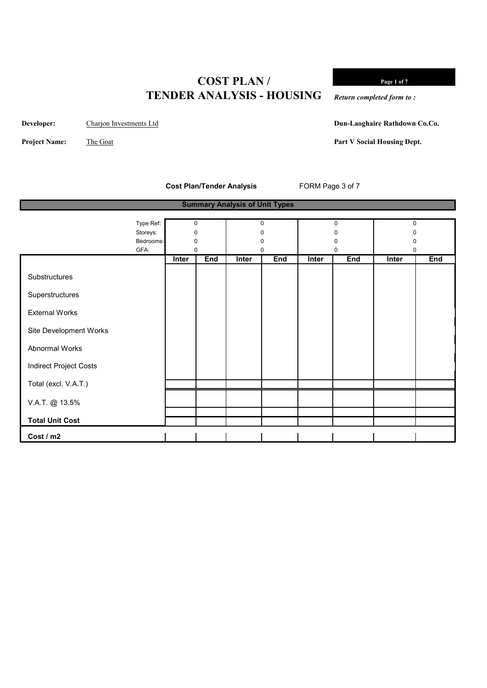**Page 1 of 7**

*Return completed form to :*

**Developer:** Charjon Investments Ltd

**Project Name:** The Goat

**Dun-Laoghaire Rathdown Co.Co.**

**Part V Social Housing Dept.**

**Cost Plan/Tender Analysis** FORM Page 3 of 7

|                               | <b>Summary Analysis of Unit Types</b> |              |     |              |            |       |     |              |     |
|-------------------------------|---------------------------------------|--------------|-----|--------------|------------|-------|-----|--------------|-----|
|                               |                                       |              |     |              |            |       |     |              |     |
|                               | Type Ref:                             | 0            |     |              | 0          |       | 0   | $\mathbf 0$  |     |
|                               | Storeys:                              | $\Omega$     |     |              | O          |       |     |              |     |
|                               | Bedrooms:                             | 0            |     |              | 0          |       | O   |              |     |
|                               | GFA:                                  | 0            |     |              | 0          |       | 0   | 0            |     |
|                               |                                       | <b>Inter</b> | End | <b>Inter</b> | <b>End</b> | Inter | End | <b>Inter</b> | End |
| Substructures                 |                                       |              |     |              |            |       |     |              |     |
| Superstructures               |                                       |              |     |              |            |       |     |              |     |
| <b>External Works</b>         |                                       |              |     |              |            |       |     |              |     |
| Site Development Works        |                                       |              |     |              |            |       |     |              |     |
| Abnormal Works                |                                       |              |     |              |            |       |     |              |     |
| <b>Indirect Project Costs</b> |                                       |              |     |              |            |       |     |              |     |
| Total (excl. V.A.T.)          |                                       |              |     |              |            |       |     |              |     |
| V.A.T. @ 13.5%                |                                       |              |     |              |            |       |     |              |     |
| <b>Total Unit Cost</b>        |                                       |              |     |              |            |       |     |              |     |
| Cost / m2                     |                                       |              |     |              |            |       |     |              |     |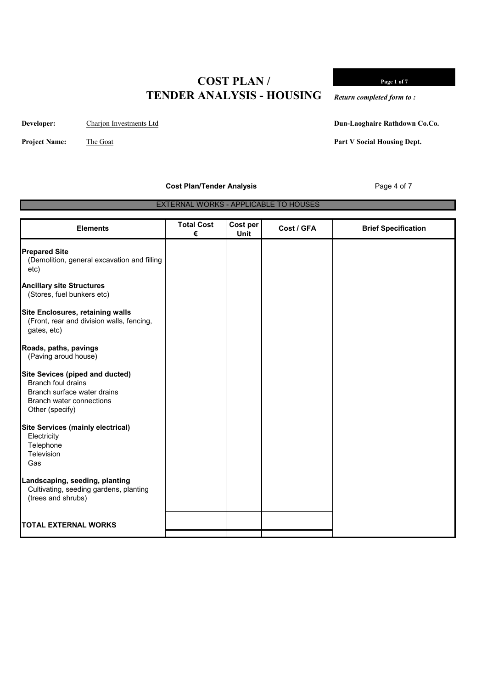**Developer:** Charjon Investments Ltd

**Project Name:** The Goat

**Dun-Laoghaire Rathdown Co.Co.**

**Part V Social Housing Dept.**

**Cost Plan/Tender Analysis** Page 4 of 7

EXTERNAL WORKS - APPLICABLE TO HOUSES

| <b>Elements</b>                                                                                                                                          | <b>Total Cost</b><br>€ | Cost per<br><b>Unit</b> | Cost / GFA | <b>Brief Specification</b> |
|----------------------------------------------------------------------------------------------------------------------------------------------------------|------------------------|-------------------------|------------|----------------------------|
| <b>Prepared Site</b><br>(Demolition, general excavation and filling<br>etc)                                                                              |                        |                         |            |                            |
| <b>Ancillary site Structures</b><br>(Stores, fuel bunkers etc)                                                                                           |                        |                         |            |                            |
| <b>Site Enclosures, retaining walls</b><br>(Front, rear and division walls, fencing,<br>gates, etc)                                                      |                        |                         |            |                            |
| Roads, paths, pavings<br>(Paving aroud house)                                                                                                            |                        |                         |            |                            |
| <b>Site Sevices (piped and ducted)</b><br><b>Branch foul drains</b><br>Branch surface water drains<br><b>Branch water connections</b><br>Other (specify) |                        |                         |            |                            |
| <b>Site Services (mainly electrical)</b><br>Electricity<br>Telephone<br>Television<br>Gas                                                                |                        |                         |            |                            |
| Landscaping, seeding, planting<br>Cultivating, seeding gardens, planting<br>(trees and shrubs)                                                           |                        |                         |            |                            |
| <b>TOTAL EXTERNAL WORKS</b>                                                                                                                              |                        |                         |            |                            |

**Page 1 of 7**

*Return completed form to :*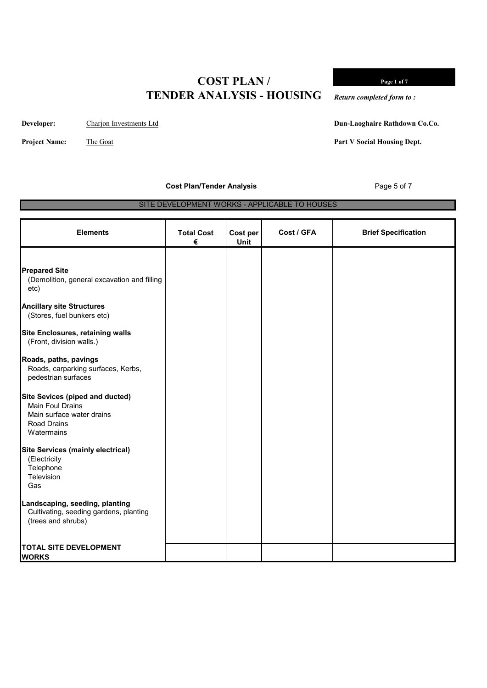**Developer:** Charjon Investments Ltd

**Project Name:** The Goat

**Dun-Laoghaire Rathdown Co.Co.**

**Page 1 of 7**

**Part V Social Housing Dept.**

*Return completed form to :*

**Cost Plan/Tender Analysis Page 5 of 7** 

SITE DEVELOPMENT WORKS - APPLICABLE TO HOUSES

| <b>Elements</b>                                                                                | <b>Total Cost</b><br>€ | Cost per<br><b>Unit</b> | Cost / GFA | <b>Brief Specification</b> |
|------------------------------------------------------------------------------------------------|------------------------|-------------------------|------------|----------------------------|
| <b>Prepared Site</b>                                                                           |                        |                         |            |                            |
| (Demolition, general excavation and filling<br>etc)                                            |                        |                         |            |                            |
| <b>Ancillary site Structures</b><br>(Stores, fuel bunkers etc)                                 |                        |                         |            |                            |
| <b>Site Enclosures, retaining walls</b><br>(Front, division walls.)                            |                        |                         |            |                            |
| Roads, paths, pavings<br>Roads, carparking surfaces, Kerbs,<br>pedestrian surfaces             |                        |                         |            |                            |
| <b>Site Sevices (piped and ducted)</b><br><b>Main Foul Drains</b>                              |                        |                         |            |                            |
| Main surface water drains<br><b>Road Drains</b><br>Watermains                                  |                        |                         |            |                            |
| <b>Site Services (mainly electrical)</b><br>(Electricity                                       |                        |                         |            |                            |
| Telephone<br>Television                                                                        |                        |                         |            |                            |
| Gas                                                                                            |                        |                         |            |                            |
| Landscaping, seeding, planting<br>Cultivating, seeding gardens, planting<br>(trees and shrubs) |                        |                         |            |                            |
| <b>TOTAL SITE DEVELOPMENT</b><br><b>WORKS</b>                                                  |                        |                         |            |                            |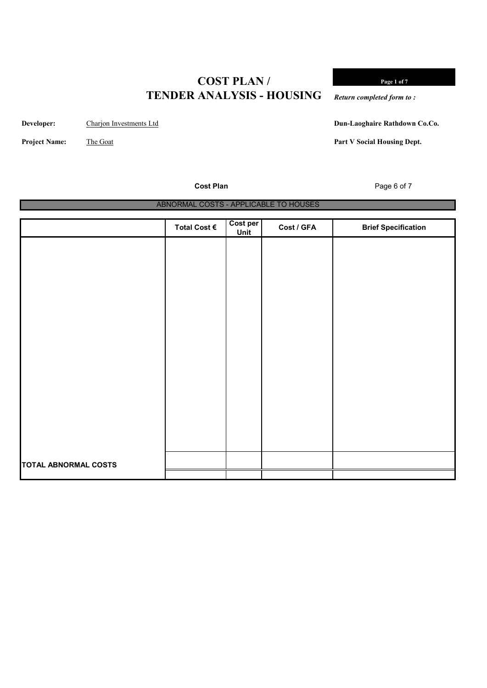**Developer:** Charjon Investments Ltd

**Project Name:** The Goat

**Page 1 of 7**

*Return completed form to :*

**Dun-Laoghaire Rathdown Co.Co.**

**Part V Social Housing Dept.**

**Cost Plan** Page 6 of 7

| OUJL LIGHT           |                                       |                         |            | $1$ agu 0 01 7             |
|----------------------|---------------------------------------|-------------------------|------------|----------------------------|
|                      | ABNORMAL COSTS - APPLICABLE TO HOUSES |                         |            |                            |
|                      |                                       |                         |            |                            |
|                      | Total Cost €                          | Cost per<br><u>Unit</u> | Cost / GFA | <b>Brief Specification</b> |
|                      |                                       |                         |            |                            |
|                      |                                       |                         |            |                            |
|                      |                                       |                         |            |                            |
|                      |                                       |                         |            |                            |
|                      |                                       |                         |            |                            |
|                      |                                       |                         |            |                            |
|                      |                                       |                         |            |                            |
|                      |                                       |                         |            |                            |
|                      |                                       |                         |            |                            |
|                      |                                       |                         |            |                            |
|                      |                                       |                         |            |                            |
|                      |                                       |                         |            |                            |
|                      |                                       |                         |            |                            |
|                      |                                       |                         |            |                            |
| TOTAL ABNORMAL COSTS |                                       |                         |            |                            |
|                      |                                       |                         |            |                            |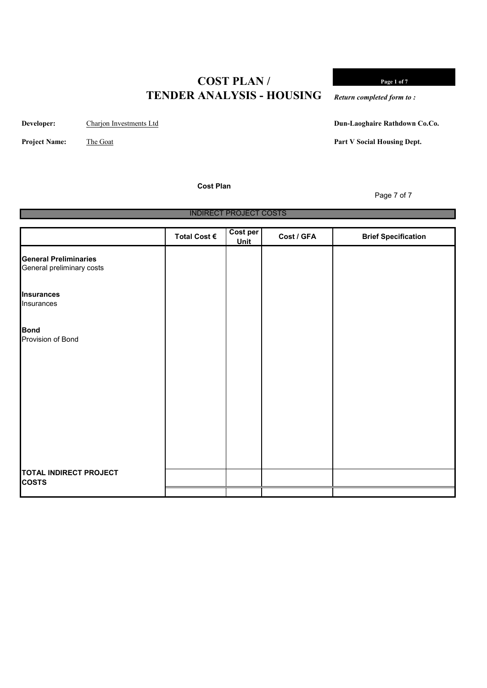**Developer:** Charjon Investments Ltd

**Project Name:** The Goat

**Cost Plan**

**Page 1 of 7**

*Return completed form to :*

**Dun-Laoghaire Rathdown Co.Co.**

Page 7 of 7

**Part V Social Housing Dept.**

INDIRECT PROJECT COSTS

|                                                           | Total Cost € | Cost per<br><b>Unit</b> | Cost / GFA | <b>Brief Specification</b> |
|-----------------------------------------------------------|--------------|-------------------------|------------|----------------------------|
| <b>General Preliminaries</b><br>General preliminary costs |              |                         |            |                            |
| <b>Insurances</b><br>Insurances                           |              |                         |            |                            |
| <b>Bond</b><br>Provision of Bond                          |              |                         |            |                            |
|                                                           |              |                         |            |                            |
|                                                           |              |                         |            |                            |
|                                                           |              |                         |            |                            |
| <b>TOTAL INDIRECT PROJECT</b><br><b>COSTS</b>             |              |                         |            |                            |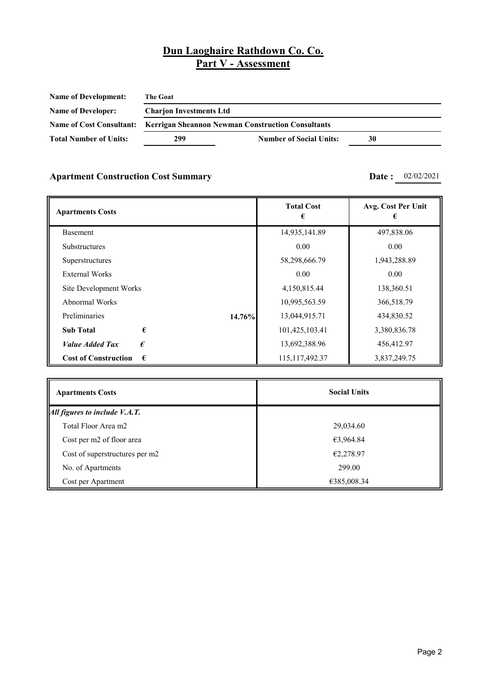| <b>Name of Development:</b>     | <b>The Goat</b>                |                                                          |    |  |  |  |  |
|---------------------------------|--------------------------------|----------------------------------------------------------|----|--|--|--|--|
| <b>Name of Developer:</b>       | <b>Charjon Investments Ltd</b> |                                                          |    |  |  |  |  |
| <b>Name of Cost Consultant:</b> |                                | <b>Kerrigan Sheannon Newman Construction Consultants</b> |    |  |  |  |  |
| <b>Total Number of Units:</b>   | 299                            | <b>Number of Social Units:</b>                           | 30 |  |  |  |  |

### **Apartment Construction Cost Summary <b>Date :** 02/02/2021

| <b>Apartments Costs</b>                   | <b>Total Cost</b> | Avg. Cost Per Unit |
|-------------------------------------------|-------------------|--------------------|
| Basement                                  | 14,935,141.89     | 497,838.06         |
| <b>Substructures</b>                      | 0.00              | 0.00               |
| Superstructures                           | 58,298,666.79     | 1,943,288.89       |
| <b>External Works</b>                     | 0.00              | 0.00               |
| Site Development Works                    | 4,150,815.44      | 138,360.51         |
| Abnormal Works                            | 10,995,563.59     | 366,518.79         |
| Preliminaries<br>14.76%                   | 13,044,915.71     | 434,830.52         |
| €<br><b>Sub Total</b>                     | 101,425,103.41    | 3,380,836.78       |
| <b>Value Added Tax</b><br>€               | 13,692,388.96     | 456,412.97         |
| <b>Cost of Construction</b><br>$\epsilon$ | 115, 117, 492. 37 | 3,837,249.75       |

| <b>Apartments Costs</b>        | <b>Social Units</b> |
|--------------------------------|---------------------|
| All figures to include V.A.T.  |                     |
| Total Floor Area m2            | 29,034.60           |
| Cost per m2 of floor area      | €3,964.84           |
| Cost of superstructures per m2 | €2,278.97           |
| No. of Apartments              | 299.00              |
| Cost per Apartment             | €385,008.34         |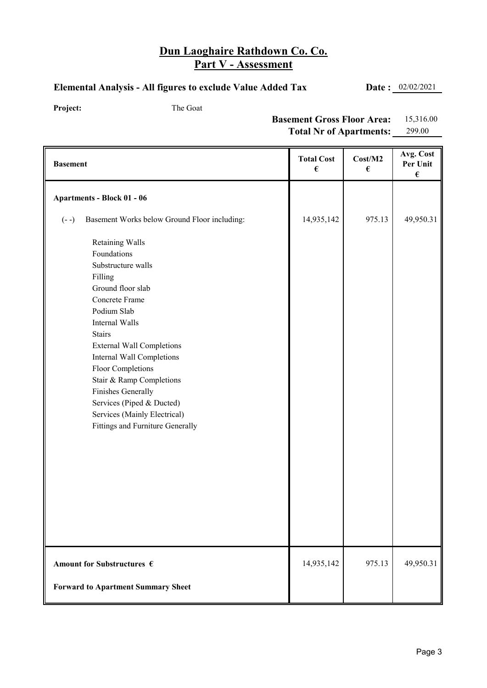#### **Elemental Analysis - All figures to exclude Value Added Tax Date :** 02/02/2021

Project: The Goat

**Basement Gross Floor Area:** 15,316.00 **Total Nr of Apartments:** 299.00

| <b>Basement</b>                                                                                                                                                                                                                                                                                                                                                                                          | <b>Total Cost</b><br>$\pmb{\epsilon}$ | Cost/M2<br>€ | Avg. Cost<br>Per Unit<br>$\pmb{\epsilon}$ |
|----------------------------------------------------------------------------------------------------------------------------------------------------------------------------------------------------------------------------------------------------------------------------------------------------------------------------------------------------------------------------------------------------------|---------------------------------------|--------------|-------------------------------------------|
| <b>Apartments - Block 01 - 06</b>                                                                                                                                                                                                                                                                                                                                                                        |                                       |              |                                           |
| Basement Works below Ground Floor including:<br>$(- -)$                                                                                                                                                                                                                                                                                                                                                  | 14,935,142                            | 975.13       | 49,950.31                                 |
| <b>Retaining Walls</b><br>Foundations<br>Substructure walls<br>Filling<br>Ground floor slab<br>Concrete Frame<br>Podium Slab<br>Internal Walls<br><b>Stairs</b><br><b>External Wall Completions</b><br>Internal Wall Completions<br>Floor Completions<br>Stair & Ramp Completions<br>Finishes Generally<br>Services (Piped & Ducted)<br>Services (Mainly Electrical)<br>Fittings and Furniture Generally |                                       |              |                                           |
| Amount for Substructures $\epsilon$                                                                                                                                                                                                                                                                                                                                                                      | 14,935,142                            | 975.13       | 49,950.31                                 |
| <b>Forward to Apartment Summary Sheet</b>                                                                                                                                                                                                                                                                                                                                                                |                                       |              |                                           |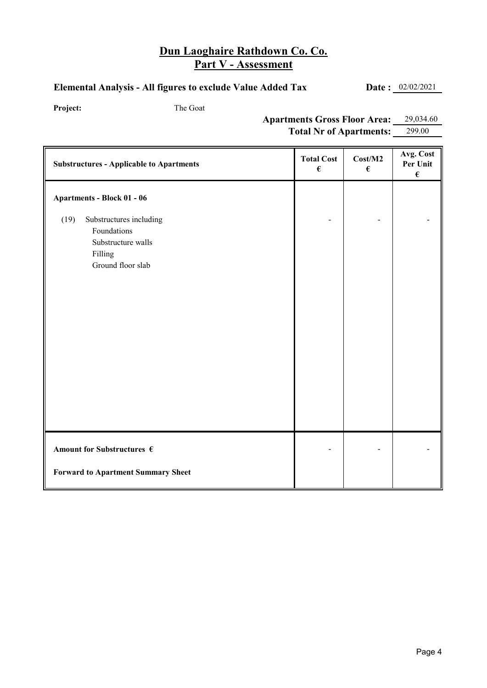#### **Elemental Analysis - All figures to exclude Value Added Tax Date :** 02/02/2021

Project: The Goat

**Apartments Gross Floor Area:** 29,034.60 Total Nr of Apartments: 299.00

| <b>Substructures - Applicable to Apartments</b>                                                      | <b>Total Cost</b><br>$\pmb{\epsilon}$ | Cost/M2<br>$\pmb{\epsilon}$ | Avg. Cost<br>Per Unit<br>$\pmb{\epsilon}$ |
|------------------------------------------------------------------------------------------------------|---------------------------------------|-----------------------------|-------------------------------------------|
| Apartments - Block 01 - 06                                                                           |                                       |                             |                                           |
| Substructures including<br>(19)<br>Foundations<br>Substructure walls<br>Filling<br>Ground floor slab |                                       |                             |                                           |
| Amount for Substructures $\epsilon$                                                                  |                                       |                             |                                           |
| <b>Forward to Apartment Summary Sheet</b>                                                            |                                       |                             |                                           |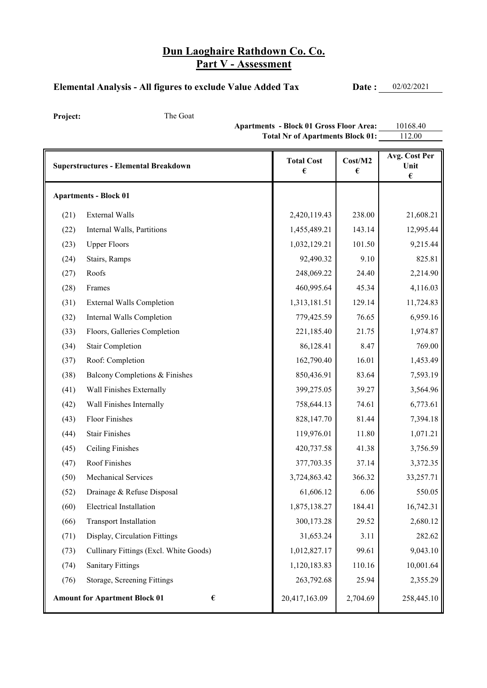#### Elemental Analysis - All figures to exclude Value Added Tax **Date :** 02/02/2021

Project: The Goat

**Apartments - Block 01 Gross Floor Area:** 10168.40 **Total Nr of Apartments Block 01:** 112.00

|      | <b>Superstructures - Elemental Breakdown</b> | <b>Total Cost</b><br>€ | Cost/M2<br>€ | Avg. Cost Per<br>Unit<br>$\pmb{\epsilon}$ |
|------|----------------------------------------------|------------------------|--------------|-------------------------------------------|
|      | <b>Apartments - Block 01</b>                 |                        |              |                                           |
| (21) | <b>External Walls</b>                        | 2,420,119.43           | 238.00       | 21,608.21                                 |
| (22) | Internal Walls, Partitions                   | 1,455,489.21           | 143.14       | 12,995.44                                 |
| (23) | <b>Upper Floors</b>                          | 1,032,129.21           | 101.50       | 9,215.44                                  |
| (24) | Stairs, Ramps                                | 92,490.32              | 9.10         | 825.81                                    |
| (27) | Roofs                                        | 248,069.22             | 24.40        | 2,214.90                                  |
| (28) | Frames                                       | 460,995.64             | 45.34        | 4,116.03                                  |
| (31) | <b>External Walls Completion</b>             | 1,313,181.51           | 129.14       | 11,724.83                                 |
| (32) | Internal Walls Completion                    | 779,425.59             | 76.65        | 6,959.16                                  |
| (33) | Floors, Galleries Completion                 | 221,185.40             | 21.75        | 1,974.87                                  |
| (34) | <b>Stair Completion</b>                      | 86,128.41              | 8.47         | 769.00                                    |
| (37) | Roof: Completion                             | 162,790.40             | 16.01        | 1,453.49                                  |
| (38) | Balcony Completions & Finishes               | 850,436.91             | 83.64        | 7,593.19                                  |
| (41) | Wall Finishes Externally                     | 399,275.05             | 39.27        | 3,564.96                                  |
| (42) | Wall Finishes Internally                     | 758,644.13             | 74.61        | 6,773.61                                  |
| (43) | Floor Finishes                               | 828,147.70             | 81.44        | 7,394.18                                  |
| (44) | <b>Stair Finishes</b>                        | 119,976.01             | 11.80        | 1,071.21                                  |
| (45) | Ceiling Finishes                             | 420,737.58             | 41.38        | 3,756.59                                  |
| (47) | Roof Finishes                                | 377,703.35             | 37.14        | 3,372.35                                  |
| (50) | Mechanical Services                          | 3,724,863.42           | 366.32       | 33,257.71                                 |
| (52) | Drainage & Refuse Disposal                   | 61,606.12              | 6.06         | 550.05                                    |
| (60) | <b>Electrical Installation</b>               | 1,875,138.27           | 184.41       | 16,742.31                                 |
| (66) | <b>Transport Installation</b>                | 300,173.28             | 29.52        | 2,680.12                                  |
| (71) | Display, Circulation Fittings                | 31,653.24              | 3.11         | 282.62                                    |
| (73) | Cullinary Fittings (Excl. White Goods)       | 1,012,827.17           | 99.61        | 9,043.10                                  |
| (74) | <b>Sanitary Fittings</b>                     | 1,120,183.83           | 110.16       | 10,001.64                                 |
| (76) | Storage, Screening Fittings                  | 263,792.68             | 25.94        | 2,355.29                                  |
|      | <b>Amount for Apartment Block 01</b><br>€    | 20,417,163.09          | 2,704.69     | 258,445.10                                |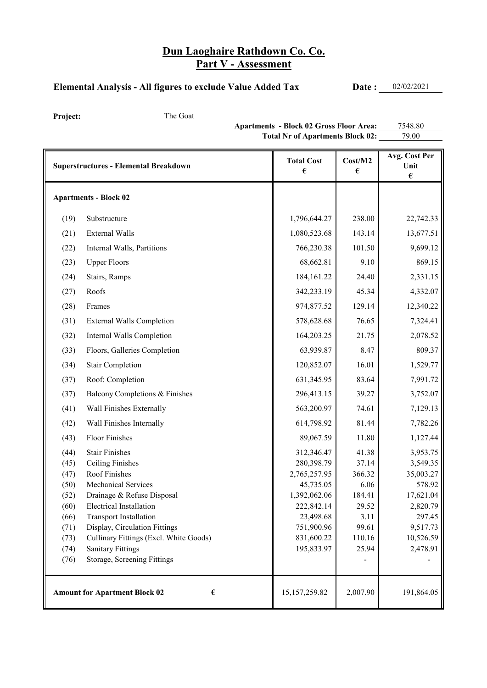#### Elemental Analysis - All figures to exclude Value Added Tax **Date :** 02/02/2021

Project: The Goat

Apartments - Block 02 Gross Floor Area: 7548.80 Total Nr of Apartments Block 02: 79.00

|      | <b>Superstructures - Elemental Breakdown</b>                       | <b>Total Cost</b><br>€ | Cost/M2<br>€ | Avg. Cost Per<br>Unit<br>$\pmb{\epsilon}$ |
|------|--------------------------------------------------------------------|------------------------|--------------|-------------------------------------------|
|      | <b>Apartments - Block 02</b>                                       |                        |              |                                           |
| (19) | Substructure                                                       | 1,796,644.27           | 238.00       | 22,742.33                                 |
| (21) | <b>External Walls</b>                                              | 1,080,523.68           | 143.14       | 13,677.51                                 |
| (22) | Internal Walls, Partitions                                         | 766,230.38             | 101.50       | 9,699.12                                  |
| (23) | <b>Upper Floors</b>                                                | 68,662.81              | 9.10         | 869.15                                    |
| (24) | Stairs, Ramps                                                      | 184,161.22             | 24.40        | 2,331.15                                  |
| (27) | Roofs                                                              | 342,233.19             | 45.34        | 4,332.07                                  |
| (28) | Frames                                                             | 974,877.52             | 129.14       | 12,340.22                                 |
| (31) | <b>External Walls Completion</b>                                   | 578,628.68             | 76.65        | 7,324.41                                  |
| (32) | Internal Walls Completion                                          | 164,203.25             | 21.75        | 2,078.52                                  |
| (33) | Floors, Galleries Completion                                       | 63,939.87              | 8.47         | 809.37                                    |
|      | <b>Stair Completion</b>                                            | 120,852.07             | 16.01        | 1,529.77                                  |
| (34) |                                                                    |                        |              |                                           |
| (37) | Roof: Completion                                                   | 631,345.95             | 83.64        | 7,991.72                                  |
| (37) | Balcony Completions & Finishes                                     | 296,413.15             | 39.27        | 3,752.07                                  |
| (41) | Wall Finishes Externally                                           | 563,200.97             | 74.61        | 7,129.13                                  |
| (42) | Wall Finishes Internally                                           | 614,798.92             | 81.44        | 7,782.26                                  |
| (43) | Floor Finishes                                                     | 89,067.59              | 11.80        | 1,127.44                                  |
| (44) | <b>Stair Finishes</b>                                              | 312,346.47             | 41.38        | 3,953.75                                  |
| (45) | <b>Ceiling Finishes</b>                                            | 280,398.79             | 37.14        | 3,549.35                                  |
| (47) | Roof Finishes                                                      | 2,765,257.95           | 366.32       | 35,003.27                                 |
| (50) | <b>Mechanical Services</b>                                         | 45,735.05              | 6.06         | 578.92                                    |
| (52) | Drainage & Refuse Disposal                                         | 1,392,062.06           | 184.41       | 17,621.04                                 |
| (60) | <b>Electrical Installation</b>                                     | 222,842.14             | 29.52        | 2,820.79                                  |
| (66) | <b>Transport Installation</b>                                      | 23,498.68              | 3.11         | 297.45                                    |
| (71) | Display, Circulation Fittings                                      | 751,900.96             | 99.61        | 9,517.73                                  |
| (73) | Cullinary Fittings (Excl. White Goods)<br><b>Sanitary Fittings</b> | 831,600.22             | 110.16       | 10,526.59                                 |
| (74) | Storage, Screening Fittings                                        | 195,833.97             | 25.94        | 2,478.91                                  |
| (76) |                                                                    |                        |              |                                           |
|      | <b>Amount for Apartment Block 02</b><br>€                          | 15,157,259.82          | 2,007.90     | 191,864.05                                |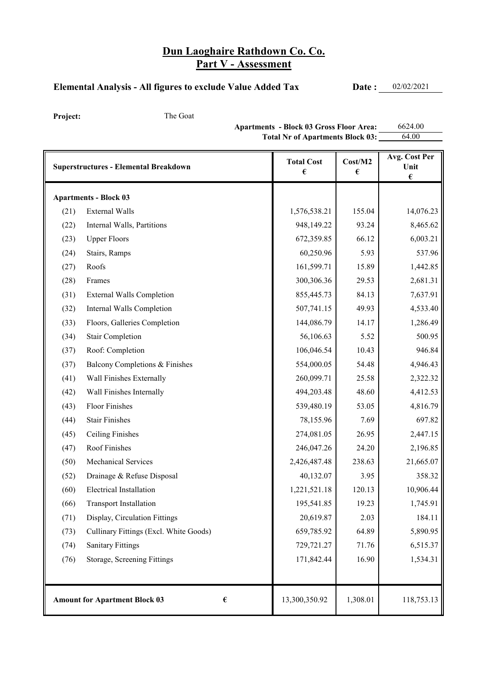### Elemental Analysis - All figures to exclude Value Added Tax **Date :** 02/02/2021

Project: The Goat

**Apartments - Block 03 Gross Floor Area:** 6624.00<br>Total Nr of Apartments Block 03: 64.00 Total Nr of Apartments Block 03:

|      | <b>Superstructures - Elemental Breakdown</b>             | <b>Total Cost</b><br>€ | Cost/M2<br>€ | Avg. Cost Per<br>Unit<br>$\pmb{\epsilon}$ |
|------|----------------------------------------------------------|------------------------|--------------|-------------------------------------------|
|      | <b>Apartments - Block 03</b>                             |                        |              |                                           |
| (21) | <b>External Walls</b>                                    | 1,576,538.21           | 155.04       | 14,076.23                                 |
| (22) | Internal Walls, Partitions                               | 948,149.22             | 93.24        | 8,465.62                                  |
| (23) | <b>Upper Floors</b>                                      | 672,359.85             | 66.12        | 6,003.21                                  |
| (24) | Stairs, Ramps                                            | 60,250.96              | 5.93         | 537.96                                    |
| (27) | Roofs                                                    | 161,599.71             | 15.89        | 1,442.85                                  |
| (28) | Frames                                                   | 300,306.36             | 29.53        | 2,681.31                                  |
| (31) | <b>External Walls Completion</b>                         | 855,445.73             | 84.13        | 7,637.91                                  |
| (32) | Internal Walls Completion                                | 507,741.15             | 49.93        | 4,533.40                                  |
| (33) | Floors, Galleries Completion                             | 144,086.79             | 14.17        | 1,286.49                                  |
| (34) | <b>Stair Completion</b>                                  | 56,106.63              | 5.52         | 500.95                                    |
| (37) | Roof: Completion                                         | 106,046.54             | 10.43        | 946.84                                    |
| (37) | Balcony Completions & Finishes                           | 554,000.05             | 54.48        | 4,946.43                                  |
| (41) | Wall Finishes Externally                                 | 260,099.71             | 25.58        | 2,322.32                                  |
| (42) | Wall Finishes Internally                                 | 494,203.48             | 48.60        | 4,412.53                                  |
| (43) | <b>Floor Finishes</b>                                    | 539,480.19             | 53.05        | 4,816.79                                  |
| (44) | <b>Stair Finishes</b>                                    | 78,155.96              | 7.69         | 697.82                                    |
| (45) | Ceiling Finishes                                         | 274,081.05             | 26.95        | 2,447.15                                  |
| (47) | Roof Finishes                                            | 246,047.26             | 24.20        | 2,196.85                                  |
| (50) | <b>Mechanical Services</b>                               | 2,426,487.48           | 238.63       | 21,665.07                                 |
| (52) | Drainage & Refuse Disposal                               | 40,132.07              | 3.95         | 358.32                                    |
| (60) | <b>Electrical Installation</b>                           | 1,221,521.18           | 120.13       | 10,906.44                                 |
| (66) | <b>Transport Installation</b>                            | 195,541.85             | 19.23        | 1,745.91                                  |
| (71) | Display, Circulation Fittings                            | 20,619.87              | 2.03         | 184.11                                    |
| (73) | Cullinary Fittings (Excl. White Goods)                   | 659,785.92             | 64.89        | 5,890.95                                  |
| (74) | <b>Sanitary Fittings</b>                                 | 729,721.27             | 71.76        | 6,515.37                                  |
| (76) | Storage, Screening Fittings                              | 171,842.44             | 16.90        | 1,534.31                                  |
|      |                                                          |                        |              |                                           |
|      | <b>Amount for Apartment Block 03</b><br>$\pmb{\epsilon}$ | 13,300,350.92          | 1,308.01     | 118,753.13                                |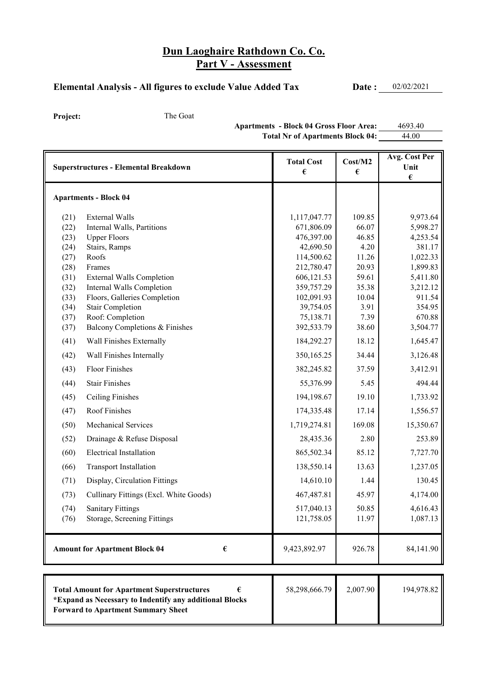#### Elemental Analysis - All figures to exclude Value Added Tax **Date :** 02/02/2021

Project: The Goat

Apartments - Block 04 Gross Floor Area: 4693.40 Total Nr of Apartments Block 04:  $\frac{44.00}{\sqrt{10}}$ 

|              | <b>Superstructures - Elemental Breakdown</b>                                                                                                              | <b>Total Cost</b><br>€   | Cost/M2<br>€   | Avg. Cost Per<br>Unit<br>$\pmb{\epsilon}$ |
|--------------|-----------------------------------------------------------------------------------------------------------------------------------------------------------|--------------------------|----------------|-------------------------------------------|
|              | <b>Apartments - Block 04</b>                                                                                                                              |                          |                |                                           |
| (21)         | <b>External Walls</b>                                                                                                                                     | 1,117,047.77             | 109.85         | 9,973.64                                  |
| (22)         | Internal Walls, Partitions                                                                                                                                | 671,806.09               | 66.07          | 5,998.27                                  |
| (23)         | <b>Upper Floors</b>                                                                                                                                       | 476,397.00               | 46.85          | 4,253.54                                  |
| (24)         | Stairs, Ramps                                                                                                                                             | 42,690.50                | 4.20           | 381.17                                    |
| (27)         | Roofs                                                                                                                                                     | 114,500.62               | 11.26          | 1,022.33                                  |
| (28)<br>(31) | Frames<br><b>External Walls Completion</b>                                                                                                                | 212,780.47<br>606,121.53 | 20.93<br>59.61 | 1,899.83<br>5,411.80                      |
| (32)         | Internal Walls Completion                                                                                                                                 | 359,757.29               | 35.38          | 3,212.12                                  |
| (33)         | Floors, Galleries Completion                                                                                                                              | 102,091.93               | 10.04          | 911.54                                    |
| (34)         | <b>Stair Completion</b>                                                                                                                                   | 39,754.05                | 3.91           | 354.95                                    |
| (37)         | Roof: Completion                                                                                                                                          | 75,138.71                | 7.39           | 670.88                                    |
| (37)         | Balcony Completions & Finishes                                                                                                                            | 392,533.79               | 38.60          | 3,504.77                                  |
| (41)         | Wall Finishes Externally                                                                                                                                  | 184,292.27               | 18.12          | 1,645.47                                  |
| (42)         | Wall Finishes Internally                                                                                                                                  | 350,165.25               | 34.44          | 3,126.48                                  |
| (43)         | Floor Finishes                                                                                                                                            | 382,245.82               | 37.59          | 3,412.91                                  |
| (44)         | <b>Stair Finishes</b>                                                                                                                                     | 55,376.99                | 5.45           | 494.44                                    |
| (45)         | <b>Ceiling Finishes</b>                                                                                                                                   | 194,198.67               | 19.10          | 1,733.92                                  |
| (47)         | Roof Finishes                                                                                                                                             | 174,335.48               | 17.14          | 1,556.57                                  |
| (50)         | <b>Mechanical Services</b>                                                                                                                                | 1,719,274.81             | 169.08         | 15,350.67                                 |
| (52)         | Drainage & Refuse Disposal                                                                                                                                | 28,435.36                | 2.80           | 253.89                                    |
| (60)         | <b>Electrical Installation</b>                                                                                                                            | 865,502.34               | 85.12          | 7,727.70                                  |
| (66)         | <b>Transport Installation</b>                                                                                                                             | 138,550.14               | 13.63          | 1,237.05                                  |
| (71)         | Display, Circulation Fittings                                                                                                                             | 14,610.10                | 1.44           | 130.45                                    |
| (73)         | Cullinary Fittings (Excl. White Goods)                                                                                                                    | 467,487.81               | 45.97          | 4,174.00                                  |
| (74)         | <b>Sanitary Fittings</b>                                                                                                                                  | 517,040.13               | 50.85          | 4,616.43                                  |
| (76)         | Storage, Screening Fittings                                                                                                                               | 121,758.05               | 11.97          | 1,087.13                                  |
|              | <b>Amount for Apartment Block 04</b><br>€                                                                                                                 | 9,423,892.97             | 926.78         | 84,141.90                                 |
|              |                                                                                                                                                           |                          |                |                                           |
|              | <b>Total Amount for Apartment Superstructures</b><br>*Expand as Necessary to Indentify any additional Blocks<br><b>Forward to Apartment Summary Sheet</b> | 58,298,666.79            | 2,007.90       | 194,978.82                                |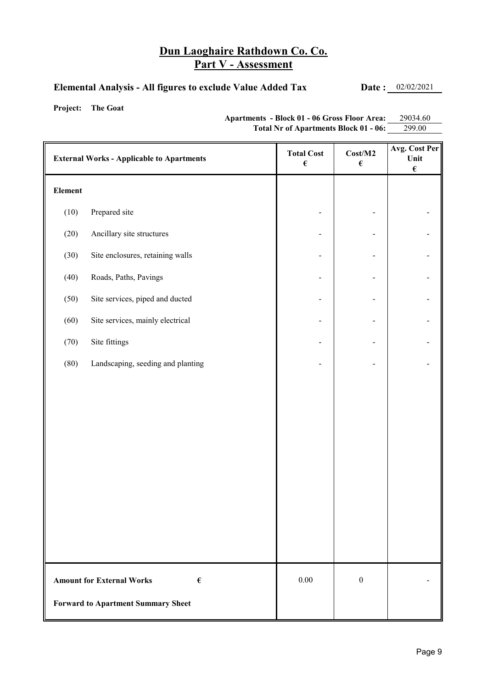#### **Elemental Analysis - All figures to exclude Value Added Tax Date :** 02/02/2021

**Project: The Goat**

**Apartments - Block 01 - 06 Gross Floor Area:** 29034.60 **Total Nr of Apartments Block 01 - 06:** 299.00

|                 | <b>External Works - Applicable to Apartments</b>     | <b>Total Cost</b><br>$\pmb{\epsilon}$ | Cost/M2<br>$\pmb{\epsilon}$ | Avg. Cost Per<br>Unit<br>$\pmb{\epsilon}$ |
|-----------------|------------------------------------------------------|---------------------------------------|-----------------------------|-------------------------------------------|
| ${\bf Element}$ |                                                      |                                       |                             |                                           |
| (10)            | Prepared site                                        |                                       |                             |                                           |
| (20)            | Ancillary site structures                            |                                       |                             |                                           |
| (30)            | Site enclosures, retaining walls                     |                                       |                             |                                           |
| (40)            | Roads, Paths, Pavings                                |                                       |                             |                                           |
| (50)            | Site services, piped and ducted                      |                                       |                             |                                           |
| (60)            | Site services, mainly electrical                     |                                       |                             |                                           |
| (70)            | Site fittings                                        |                                       |                             |                                           |
| (80)            | Landscaping, seeding and planting                    |                                       |                             |                                           |
|                 |                                                      |                                       |                             |                                           |
|                 |                                                      |                                       |                             |                                           |
|                 |                                                      |                                       |                             |                                           |
|                 |                                                      |                                       |                             |                                           |
|                 |                                                      |                                       |                             |                                           |
|                 |                                                      |                                       |                             |                                           |
|                 |                                                      |                                       |                             |                                           |
|                 |                                                      |                                       |                             |                                           |
|                 |                                                      |                                       |                             |                                           |
|                 | <b>Amount for External Works</b><br>$\pmb{\epsilon}$ | $0.00\,$                              | $\boldsymbol{0}$            |                                           |
|                 | <b>Forward to Apartment Summary Sheet</b>            |                                       |                             |                                           |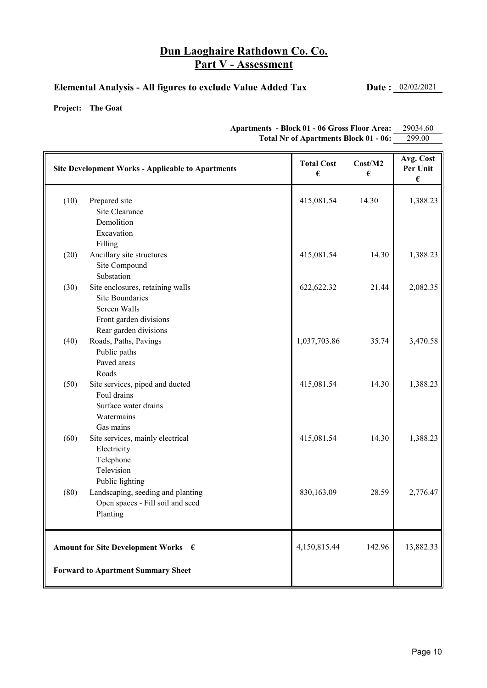#### **Elemental Analysis - All figures to exclude Value Added Tax Date :** 02/02/2021

**Project: The Goat**

| <b>Site Development Works - Applicable to Apartments</b> |                                   | <b>Total Cost</b><br>€ | Cost/M2<br>€ | Avg. Cost<br>Per Unit<br>€ |
|----------------------------------------------------------|-----------------------------------|------------------------|--------------|----------------------------|
| (10)                                                     | Prepared site<br>Site Clearance   | 415,081.54             | 14.30        | 1,388.23                   |
|                                                          | Demolition                        |                        |              |                            |
|                                                          | Excavation                        |                        |              |                            |
|                                                          | Filling                           |                        |              |                            |
| (20)                                                     | Ancillary site structures         | 415,081.54             | 14.30        | 1,388.23                   |
|                                                          | Site Compound                     |                        |              |                            |
|                                                          | Substation                        |                        |              |                            |
| (30)                                                     | Site enclosures, retaining walls  | 622,622.32             | 21.44        | 2,082.35                   |
|                                                          | <b>Site Boundaries</b>            |                        |              |                            |
|                                                          | Screen Walls                      |                        |              |                            |
|                                                          | Front garden divisions            |                        |              |                            |
|                                                          | Rear garden divisions             |                        |              |                            |
| (40)                                                     | Roads, Paths, Pavings             | 1,037,703.86           | 35.74        | 3,470.58                   |
|                                                          | Public paths                      |                        |              |                            |
|                                                          | Paved areas                       |                        |              |                            |
|                                                          | Roads                             |                        |              |                            |
| (50)                                                     | Site services, piped and ducted   | 415,081.54             | 14.30        | 1,388.23                   |
|                                                          | Foul drains                       |                        |              |                            |
|                                                          | Surface water drains              |                        |              |                            |
|                                                          | Watermains                        |                        |              |                            |
|                                                          | Gas mains                         |                        |              |                            |
| (60)                                                     | Site services, mainly electrical  | 415,081.54             | 14.30        | 1,388.23                   |
|                                                          | Electricity                       |                        |              |                            |
|                                                          | Telephone                         |                        |              |                            |
|                                                          | Television                        |                        |              |                            |
|                                                          | Public lighting                   |                        |              |                            |
| (80)                                                     | Landscaping, seeding and planting | 830,163.09             | 28.59        | 2,776.47                   |
|                                                          | Open spaces - Fill soil and seed  |                        |              |                            |
|                                                          | Planting                          |                        |              |                            |
|                                                          |                                   |                        |              |                            |
| Amount for Site Development Works $\epsilon$             |                                   | 4,150,815.44           | 142.96       | 13,882.33                  |
| <b>Forward to Apartment Summary Sheet</b>                |                                   |                        |              |                            |

**Apartments - Block 01 - 06 Gross Floor Area:** 29034.60 **Total Nr of Apartments Block 01 - 06:** 299.00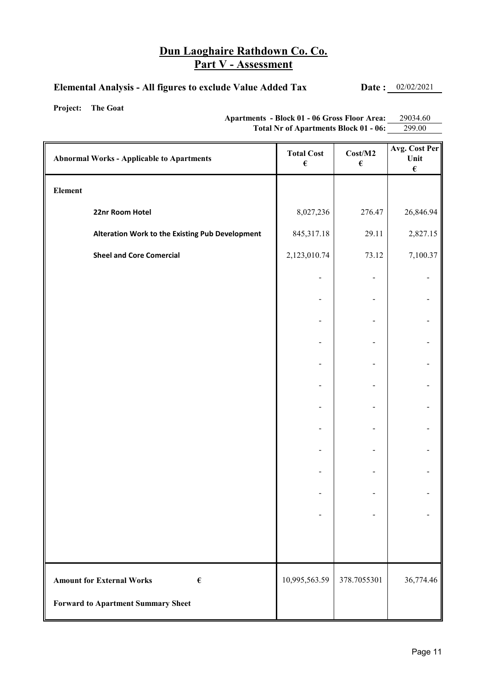#### **Elemental Analysis - All figures to exclude Value Added Tax Date :** 02/02/2021

**Project: The Goat**

**Apartments - Block 01 - 06 Gross Floor Area:** 29034.60 **Total Nr of Apartments Block 01 - 06:** 299.00

| <b>Abnormal Works - Applicable to Apartments</b>     | <b>Total Cost</b><br>$\pmb{\epsilon}$ | Cost/M2<br>$\pmb{\epsilon}$ | Avg. Cost Per<br>Unit<br>$\pmb{\epsilon}$ |
|------------------------------------------------------|---------------------------------------|-----------------------------|-------------------------------------------|
| ${\bf Element}$                                      |                                       |                             |                                           |
| 22nr Room Hotel                                      | 8,027,236                             | 276.47                      | 26,846.94                                 |
| Alteration Work to the Existing Pub Development      | 845,317.18                            | 29.11                       | 2,827.15                                  |
| <b>Sheel and Core Comercial</b>                      | 2,123,010.74                          | 73.12                       | 7,100.37                                  |
|                                                      |                                       |                             |                                           |
|                                                      |                                       |                             |                                           |
|                                                      |                                       |                             |                                           |
|                                                      |                                       |                             |                                           |
|                                                      |                                       |                             |                                           |
|                                                      |                                       |                             |                                           |
|                                                      |                                       |                             |                                           |
|                                                      |                                       |                             |                                           |
|                                                      |                                       |                             |                                           |
|                                                      |                                       |                             |                                           |
|                                                      |                                       |                             |                                           |
|                                                      |                                       |                             |                                           |
|                                                      |                                       |                             |                                           |
| <b>Amount for External Works</b><br>$\pmb{\epsilon}$ | 10,995,563.59                         | 378.7055301                 | 36,774.46                                 |
| <b>Forward to Apartment Summary Sheet</b>            |                                       |                             |                                           |